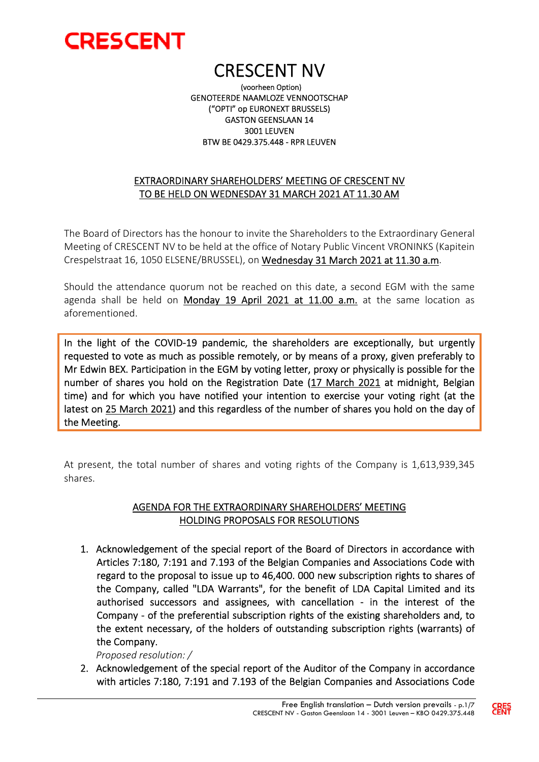

 CRESCENT NV (voorheen Option) GENOTEERDE NAAMLOZE VENNOOTSCHAP ("OPTI" op EURONEXT BRUSSELS) GASTON GEENSLAAN 14 3001 LEUVEN BTW BE 0429.375.448 - RPR LEUVEN

### EXTRAORDINARY SHAREHOLDERS' MEETING OF CRESCENT NV TO BE HELD ON WEDNESDAY 31 MARCH 2021 AT 11.30 AM

The Board of Directors has the honour to invite the Shareholders to the Extraordinary General Meeting of CRESCENT NV to be held at the office of Notary Public Vincent VRONINKS (Kapitein Crespelstraat 16, 1050 ELSENE/BRUSSEL), on Wednesday 31 March 2021 at 11.30 a.m.

Should the attendance quorum not be reached on this date, a second EGM with the same agenda shall be held on Monday 19 April 2021 at 11.00 a.m. at the same location as aforementioned.

In the light of the COVID-19 pandemic, the shareholders are exceptionally, but urgently requested to vote as much as possible remotely, or by means of a proxy, given preferably to Mr Edwin BEX. Participation in the EGM by voting letter, proxy or physically is possible for the number of shares you hold on the Registration Date (17 March 2021 at midnight, Belgian time) and for which you have notified your intention to exercise your voting right (at the latest on 25 March 2021) and this regardless of the number of shares you hold on the day of the Meeting.

At present, the total number of shares and voting rights of the Company is 1,613,939,345 shares.

#### AGENDA FOR THE EXTRAORDINARY SHAREHOLDERS' MEETING HOLDING PROPOSALS FOR RESOLUTIONS

1. Acknowledgement of the special report of the Board of Directors in accordance with Articles 7:180, 7:191 and 7.193 of the Belgian Companies and Associations Code with regard to the proposal to issue up to 46,400. 000 new subscription rights to shares of the Company, called "LDA Warrants", for the benefit of LDA Capital Limited and its authorised successors and assignees, with cancellation - in the interest of the Company - of the preferential subscription rights of the existing shareholders and, to the extent necessary, of the holders of outstanding subscription rights (warrants) of the Company.

*Proposed resolution: /*

2. Acknowledgement of the special report of the Auditor of the Company in accordance with articles 7:180, 7:191 and 7.193 of the Belgian Companies and Associations Code

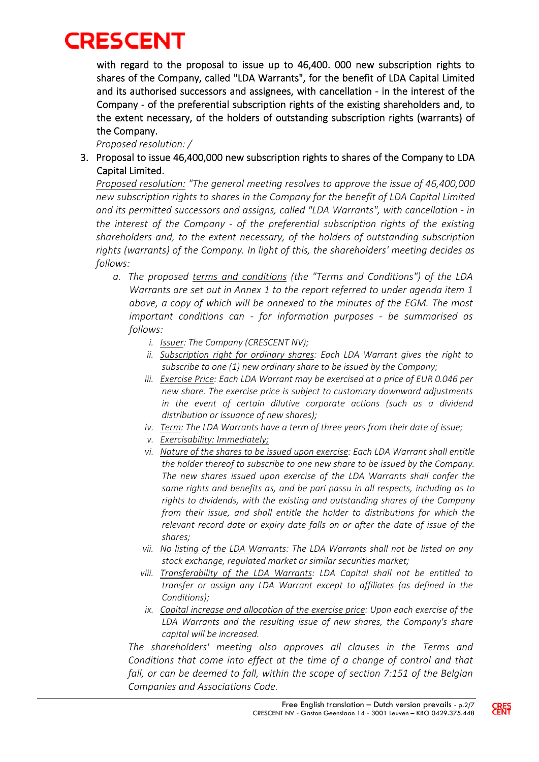with regard to the proposal to issue up to 46,400. 000 new subscription rights to shares of the Company, called "LDA Warrants", for the benefit of LDA Capital Limited and its authorised successors and assignees, with cancellation - in the interest of the Company - of the preferential subscription rights of the existing shareholders and, to the extent necessary, of the holders of outstanding subscription rights (warrants) of the Company.

*Proposed resolution: /*

3. Proposal to issue 46,400,000 new subscription rights to shares of the Company to LDA Capital Limited.

*Proposed resolution: "The general meeting resolves to approve the issue of 46,400,000 new subscription rights to shares in the Company for the benefit of LDA Capital Limited and its permitted successors and assigns, called "LDA Warrants", with cancellation - in the interest of the Company - of the preferential subscription rights of the existing shareholders and, to the extent necessary, of the holders of outstanding subscription rights (warrants) of the Company. In light of this, the shareholders' meeting decides as follows:*

- *a. The proposed terms and conditions (the "Terms and Conditions") of the LDA Warrants are set out in Annex 1 to the report referred to under agenda item 1 above, a copy of which will be annexed to the minutes of the EGM. The most important conditions can - for information purposes - be summarised as follows:* 
	- *i. Issuer: The Company (CRESCENT NV);*
	- *ii. Subscription right for ordinary shares: Each LDA Warrant gives the right to subscribe to one (1) new ordinary share to be issued by the Company;*
	- *iii. Exercise Price: Each LDA Warrant may be exercised at a price of EUR 0.046 per new share. The exercise price is subject to customary downward adjustments in the event of certain dilutive corporate actions (such as a dividend distribution or issuance of new shares);*
	- *iv. Term: The LDA Warrants have a term of three years from their date of issue;*
	- *v. Exercisability: Immediately;*
	- *vi. Nature of the shares to be issued upon exercise: Each LDA Warrant shall entitle the holder thereof to subscribe to one new share to be issued by the Company. The new shares issued upon exercise of the LDA Warrants shall confer the same rights and benefits as, and be pari passu in all respects, including as to rights to dividends, with the existing and outstanding shares of the Company from their issue, and shall entitle the holder to distributions for which the relevant record date or expiry date falls on or after the date of issue of the shares;*
	- *vii. No listing of the LDA Warrants: The LDA Warrants shall not be listed on any stock exchange, regulated market or similar securities market;*
	- *viii. Transferability of the LDA Warrants: LDA Capital shall not be entitled to transfer or assign any LDA Warrant except to affiliates (as defined in the Conditions);*
	- *ix. Capital increase and allocation of the exercise price: Upon each exercise of the LDA Warrants and the resulting issue of new shares, the Company's share capital will be increased.*

*The shareholders' meeting also approves all clauses in the Terms and Conditions that come into effect at the time of a change of control and that fall, or can be deemed to fall, within the scope of section 7:151 of the Belgian Companies and Associations Code.* 

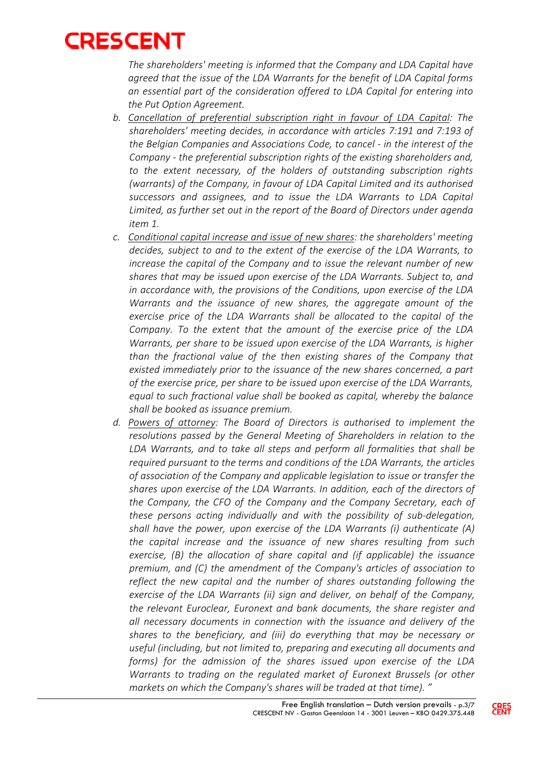*The shareholders' meeting is informed that the Company and LDA Capital have agreed that the issue of the LDA Warrants for the benefit of LDA Capital forms an essential part of the consideration offered to LDA Capital for entering into the Put Option Agreement.* 

- *b. Cancellation of preferential subscription right in favour of LDA Capital: The shareholders' meeting decides, in accordance with articles 7:191 and 7:193 of the Belgian Companies and Associations Code, to cancel - in the interest of the Company - the preferential subscription rights of the existing shareholders and, to the extent necessary, of the holders of outstanding subscription rights (warrants) of the Company, in favour of LDA Capital Limited and its authorised successors and assignees, and to issue the LDA Warrants to LDA Capital Limited, as further set out in the report of the Board of Directors under agenda item 1.*
- *c. Conditional capital increase and issue of new shares: the shareholders' meeting decides, subject to and to the extent of the exercise of the LDA Warrants, to increase the capital of the Company and to issue the relevant number of new shares that may be issued upon exercise of the LDA Warrants. Subject to, and in accordance with, the provisions of the Conditions, upon exercise of the LDA Warrants and the issuance of new shares, the aggregate amount of the exercise price of the LDA Warrants shall be allocated to the capital of the Company. To the extent that the amount of the exercise price of the LDA Warrants, per share to be issued upon exercise of the LDA Warrants, is higher than the fractional value of the then existing shares of the Company that existed immediately prior to the issuance of the new shares concerned, a part of the exercise price, per share to be issued upon exercise of the LDA Warrants, equal to such fractional value shall be booked as capital, whereby the balance shall be booked as issuance premium.*
- *d. Powers of attorney: The Board of Directors is authorised to implement the resolutions passed by the General Meeting of Shareholders in relation to the LDA Warrants, and to take all steps and perform all formalities that shall be required pursuant to the terms and conditions of the LDA Warrants, the articles of association of the Company and applicable legislation to issue or transfer the shares upon exercise of the LDA Warrants. In addition, each of the directors of the Company, the CFO of the Company and the Company Secretary, each of these persons acting individually and with the possibility of sub-delegation, shall have the power, upon exercise of the LDA Warrants (i) authenticate (A) the capital increase and the issuance of new shares resulting from such exercise, (B) the allocation of share capital and (if applicable) the issuance premium, and (C) the amendment of the Company's articles of association to reflect the new capital and the number of shares outstanding following the exercise of the LDA Warrants (ii) sign and deliver, on behalf of the Company, the relevant Euroclear, Euronext and bank documents, the share register and all necessary documents in connection with the issuance and delivery of the shares to the beneficiary, and (iii) do everything that may be necessary or useful (including, but not limited to, preparing and executing all documents and forms) for the admission of the shares issued upon exercise of the LDA Warrants to trading on the regulated market of Euronext Brussels (or other markets on which the Company's shares will be traded at that time). "*

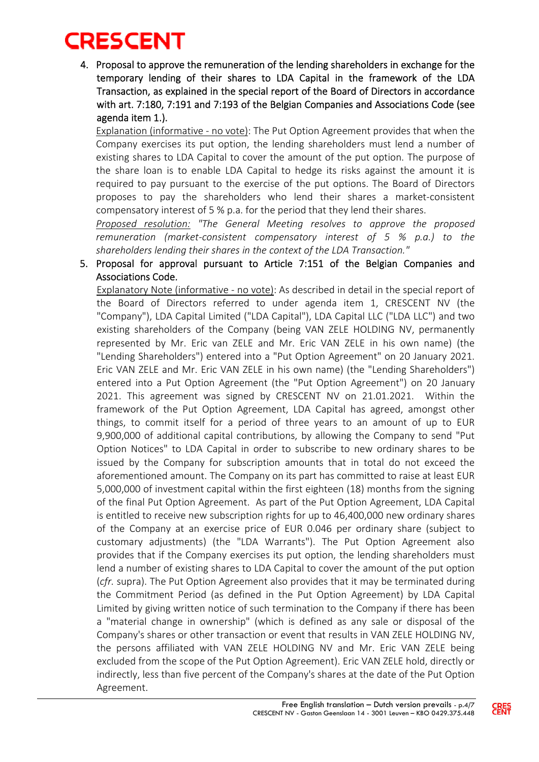4. Proposal to approve the remuneration of the lending shareholders in exchange for the temporary lending of their shares to LDA Capital in the framework of the LDA Transaction, as explained in the special report of the Board of Directors in accordance with art. 7:180, 7:191 and 7:193 of the Belgian Companies and Associations Code (see agenda item 1.).

Explanation (informative - no vote): The Put Option Agreement provides that when the Company exercises its put option, the lending shareholders must lend a number of existing shares to LDA Capital to cover the amount of the put option. The purpose of the share loan is to enable LDA Capital to hedge its risks against the amount it is required to pay pursuant to the exercise of the put options. The Board of Directors proposes to pay the shareholders who lend their shares a market-consistent compensatory interest of 5 % p.a. for the period that they lend their shares.

*Proposed resolution: "The General Meeting resolves to approve the proposed remuneration (market-consistent compensatory interest of 5 % p.a.) to the shareholders lending their shares in the context of the LDA Transaction."*

5. Proposal for approval pursuant to Article 7:151 of the Belgian Companies and Associations Code.

Explanatory Note (informative - no vote): As described in detail in the special report of the Board of Directors referred to under agenda item 1, CRESCENT NV (the "Company"), LDA Capital Limited ("LDA Capital"), LDA Capital LLC ("LDA LLC") and two existing shareholders of the Company (being VAN ZELE HOLDING NV, permanently represented by Mr. Eric van ZELE and Mr. Eric VAN ZELE in his own name) (the "Lending Shareholders") entered into a "Put Option Agreement" on 20 January 2021. Eric VAN ZELE and Mr. Eric VAN ZELE in his own name) (the "Lending Shareholders") entered into a Put Option Agreement (the "Put Option Agreement") on 20 January 2021. This agreement was signed by CRESCENT NV on 21.01.2021. Within the framework of the Put Option Agreement, LDA Capital has agreed, amongst other things, to commit itself for a period of three years to an amount of up to EUR 9,900,000 of additional capital contributions, by allowing the Company to send "Put Option Notices" to LDA Capital in order to subscribe to new ordinary shares to be issued by the Company for subscription amounts that in total do not exceed the aforementioned amount. The Company on its part has committed to raise at least EUR 5,000,000 of investment capital within the first eighteen (18) months from the signing of the final Put Option Agreement. As part of the Put Option Agreement, LDA Capital is entitled to receive new subscription rights for up to 46,400,000 new ordinary shares of the Company at an exercise price of EUR 0.046 per ordinary share (subject to customary adjustments) (the "LDA Warrants"). The Put Option Agreement also provides that if the Company exercises its put option, the lending shareholders must lend a number of existing shares to LDA Capital to cover the amount of the put option (*cfr.* supra). The Put Option Agreement also provides that it may be terminated during the Commitment Period (as defined in the Put Option Agreement) by LDA Capital Limited by giving written notice of such termination to the Company if there has been a "material change in ownership" (which is defined as any sale or disposal of the Company's shares or other transaction or event that results in VAN ZELE HOLDING NV, the persons affiliated with VAN ZELE HOLDING NV and Mr. Eric VAN ZELE being excluded from the scope of the Put Option Agreement). Eric VAN ZELE hold, directly or indirectly, less than five percent of the Company's shares at the date of the Put Option Agreement.

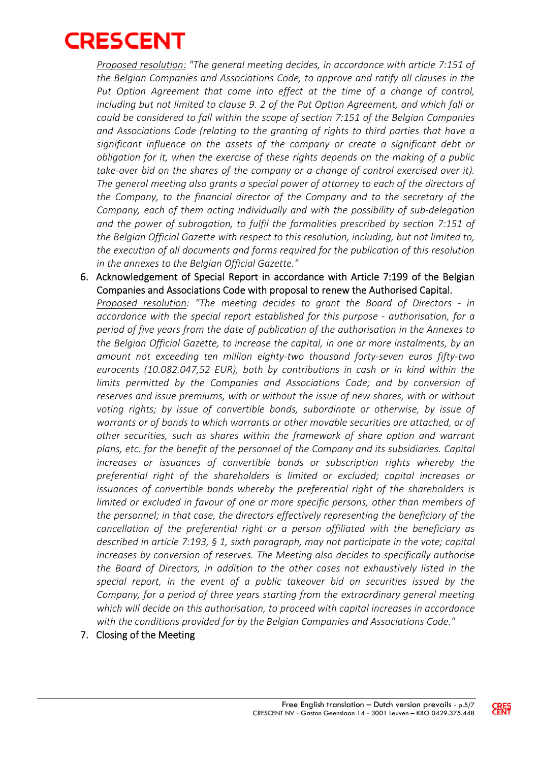

*Proposed resolution: "The general meeting decides, in accordance with article 7:151 of the Belgian Companies and Associations Code, to approve and ratify all clauses in the*  Put Option Agreement that come into effect at the time of a change of control, *including but not limited to clause 9. 2 of the Put Option Agreement, and which fall or could be considered to fall within the scope of section 7:151 of the Belgian Companies and Associations Code (relating to the granting of rights to third parties that have a significant influence on the assets of the company or create a significant debt or obligation for it, when the exercise of these rights depends on the making of a public take-over bid on the shares of the company or a change of control exercised over it). The general meeting also grants a special power of attorney to each of the directors of the Company, to the financial director of the Company and to the secretary of the Company, each of them acting individually and with the possibility of sub-delegation and the power of subrogation, to fulfil the formalities prescribed by section 7:151 of the Belgian Official Gazette with respect to this resolution, including, but not limited to, the execution of all documents and forms required for the publication of this resolution in the annexes to the Belgian Official Gazette."*

6. Acknowledgement of Special Report in accordance with Article 7:199 of the Belgian Companies and Associations Code with proposal to renew the Authorised Capital.

*Proposed resolution: "The meeting decides to grant the Board of Directors - in accordance with the special report established for this purpose - authorisation, for a period of five years from the date of publication of the authorisation in the Annexes to the Belgian Official Gazette, to increase the capital, in one or more instalments, by an amount not exceeding ten million eighty-two thousand forty-seven euros fifty-two eurocents (10.082.047,52 EUR), both by contributions in cash or in kind within the*  limits permitted by the Companies and Associations Code; and by conversion of *reserves and issue premiums, with or without the issue of new shares, with or without voting rights; by issue of convertible bonds, subordinate or otherwise, by issue of warrants or of bonds to which warrants or other movable securities are attached, or of other securities, such as shares within the framework of share option and warrant plans, etc. for the benefit of the personnel of the Company and its subsidiaries. Capital increases or issuances of convertible bonds or subscription rights whereby the preferential right of the shareholders is limited or excluded; capital increases or issuances of convertible bonds whereby the preferential right of the shareholders is limited or excluded in favour of one or more specific persons, other than members of the personnel; in that case, the directors effectively representing the beneficiary of the cancellation of the preferential right or a person affiliated with the beneficiary as described in article 7:193, § 1, sixth paragraph, may not participate in the vote; capital increases by conversion of reserves. The Meeting also decides to specifically authorise the Board of Directors, in addition to the other cases not exhaustively listed in the special report, in the event of a public takeover bid on securities issued by the Company, for a period of three years starting from the extraordinary general meeting which will decide on this authorisation, to proceed with capital increases in accordance with the conditions provided for by the Belgian Companies and Associations Code."*

7. Closing of the Meeting

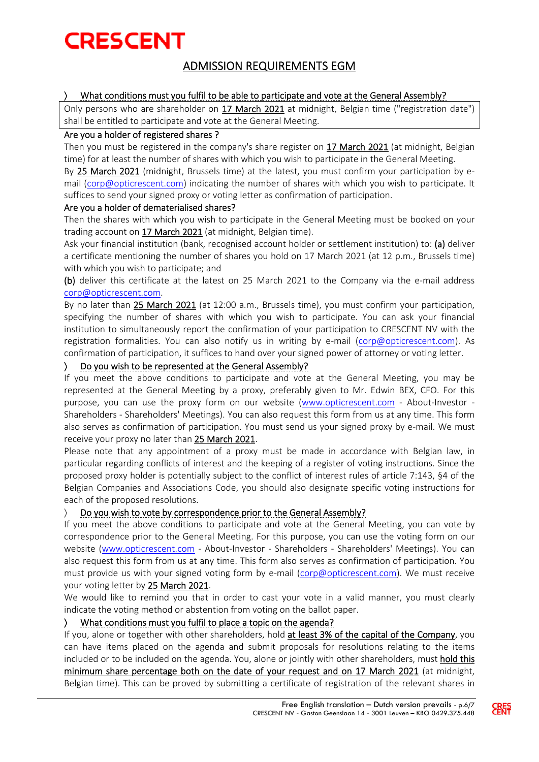### ADMISSION REQUIREMENTS EGM

#### What conditions must you fulfil to be able to participate and vote at the General Assembly?

Only persons who are shareholder on 17 March 2021 at midnight, Belgian time ("registration date") shall be entitled to participate and vote at the General Meeting.

#### Are you a holder of registered shares ?

Then you must be registered in the company's share register on 17 March 2021 (at midnight, Belgian time) for at least the number of shares with which you wish to participate in the General Meeting.

By 25 March 2021 (midnight, Brussels time) at the latest, you must confirm your participation by email (corp@opticrescent.com) indicating the number of shares with which you wish to participate. It suffices to send your signed proxy or voting letter as confirmation of participation.

#### Are you a holder of dematerialised shares?

Then the shares with which you wish to participate in the General Meeting must be booked on your trading account on 17 March 2021 (at midnight, Belgian time).

Ask your financial institution (bank, recognised account holder or settlement institution) to: (a) deliver a certificate mentioning the number of shares you hold on 17 March 2021 (at 12 p.m., Brussels time) with which you wish to participate; and

(b) deliver this certificate at the latest on 25 March 2021 to the Company via the e-mail address corp@opticrescent.com.

By no later than 25 March 2021 (at 12:00 a.m., Brussels time), you must confirm your participation, specifying the number of shares with which you wish to participate. You can ask your financial institution to simultaneously report the confirmation of your participation to CRESCENT NV with the registration formalities. You can also notify us in writing by e-mail (corp@opticrescent.com). As confirmation of participation, it suffices to hand over your signed power of attorney or voting letter.

#### Do you wish to be represented at the General Assembly?

If you meet the above conditions to participate and vote at the General Meeting, you may be represented at the General Meeting by a proxy, preferably given to Mr. Edwin BEX, CFO. For this purpose, you can use the proxy form on our website (www.opticrescent.com - About-Investor - Shareholders - Shareholders' Meetings). You can also request this form from us at any time. This form also serves as confirmation of participation. You must send us your signed proxy by e-mail. We must receive your proxy no later than 25 March 2021.

Please note that any appointment of a proxy must be made in accordance with Belgian law, in particular regarding conflicts of interest and the keeping of a register of voting instructions. Since the proposed proxy holder is potentially subject to the conflict of interest rules of article 7:143, §4 of the Belgian Companies and Associations Code, you should also designate specific voting instructions for each of the proposed resolutions.

#### Do you wish to vote by correspondence prior to the General Assembly?

If you meet the above conditions to participate and vote at the General Meeting, you can vote by correspondence prior to the General Meeting. For this purpose, you can use the voting form on our website (www.opticrescent.com - About-Investor - Shareholders - Shareholders' Meetings). You can also request this form from us at any time. This form also serves as confirmation of participation. You must provide us with your signed voting form by e-mail (corp@opticrescent.com). We must receive your voting letter by 25 March 2021.

We would like to remind you that in order to cast your vote in a valid manner, you must clearly indicate the voting method or abstention from voting on the ballot paper.

#### What conditions must you fulfil to place a topic on the agenda?

If you, alone or together with other shareholders, hold at least 3% of the capital of the Company, you can have items placed on the agenda and submit proposals for resolutions relating to the items included or to be included on the agenda. You, alone or jointly with other shareholders, must hold this minimum share percentage both on the date of your request and on 17 March 2021 (at midnight, Belgian time). This can be proved by submitting a certificate of registration of the relevant shares in